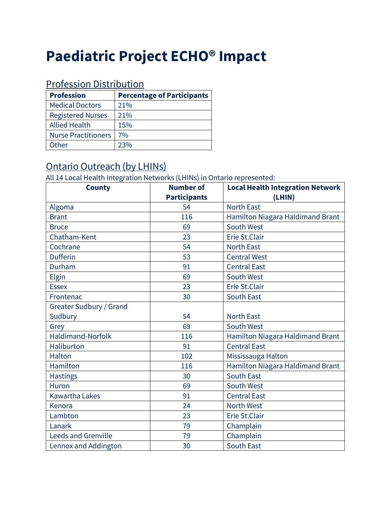# **Paediatric Project ECHO® Impact**

#### Profession Distribution

| <b>Profession</b>          | <b>Percentage of Participants</b> |
|----------------------------|-----------------------------------|
| <b>Medical Doctors</b>     | 21%                               |
| <b>Registered Nurses</b>   | 21%                               |
| <b>Allied Health</b>       | 15%                               |
| <b>Nurse Practitioners</b> | 7%                                |
| Other                      | 23%                               |

#### Ontario Outreach (by LHINs)

All 14 Local Health Integration Networks (LHINs) in Ontario represented:

| <b>County</b>              | <b>Number of</b>    | <b>Local Health Integration Network</b> |  |  |
|----------------------------|---------------------|-----------------------------------------|--|--|
|                            | <b>Participants</b> | (LHIN)                                  |  |  |
| Algoma                     | 54                  | <b>North East</b>                       |  |  |
| <b>Brant</b>               | 116                 | Hamilton Niagara Haldimand Brant        |  |  |
| <b>Bruce</b>               | 69                  | South West                              |  |  |
| Chatham-Kent               | 23                  | Erie St.Clair                           |  |  |
| Cochrane                   | 54                  | <b>North East</b>                       |  |  |
| <b>Dufferin</b>            | 53                  | <b>Central West</b>                     |  |  |
| Durham                     | 91                  | <b>Central East</b>                     |  |  |
| Elgin                      | 69                  | South West                              |  |  |
| <b>Essex</b>               | 23                  | Erie St.Clair                           |  |  |
| Frontenac                  | 30                  | South East                              |  |  |
| Greater Sudbury / Grand    |                     |                                         |  |  |
| Sudbury                    | 54                  | <b>North East</b>                       |  |  |
| Grey                       | 69                  | South West                              |  |  |
| <b>Haldimand-Norfolk</b>   | 116                 | Hamilton Niagara Haldimand Brant        |  |  |
| Haliburton                 | 91                  | <b>Central East</b>                     |  |  |
| Halton                     | 102                 | Mississauga Halton                      |  |  |
| Hamilton                   | 116                 | Hamilton Niagara Haldimand Brant        |  |  |
| <b>Hastings</b>            | 30                  | South East                              |  |  |
| Huron                      | 69                  | South West                              |  |  |
| <b>Kawartha Lakes</b>      | 91                  | <b>Central East</b>                     |  |  |
| Kenora                     | 24                  | <b>North West</b>                       |  |  |
| Lambton                    | 23                  | Erie St.Clair                           |  |  |
| Lanark                     | 79                  | Champlain                               |  |  |
| <b>Leeds and Grenville</b> | 79                  | Champlain                               |  |  |
| Lennox and Addington       | 30                  | <b>South East</b>                       |  |  |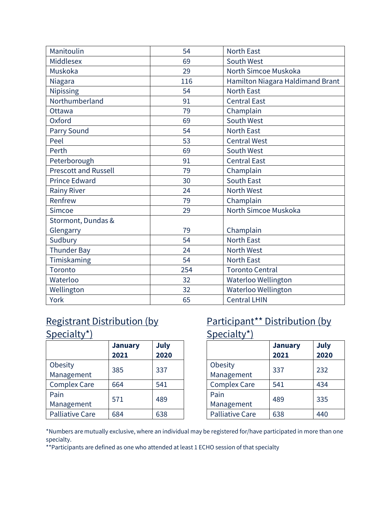| Manitoulin                  | 54  | <b>North East</b>                |
|-----------------------------|-----|----------------------------------|
| Middlesex                   | 69  | South West                       |
| Muskoka                     | 29  | North Simcoe Muskoka             |
| Niagara                     | 116 | Hamilton Niagara Haldimand Brant |
| Nipissing                   | 54  | <b>North East</b>                |
| Northumberland              | 91  | <b>Central East</b>              |
| Ottawa                      | 79  | Champlain                        |
| Oxford                      | 69  | South West                       |
| Parry Sound                 | 54  | <b>North East</b>                |
| Peel                        | 53  | <b>Central West</b>              |
| Perth                       | 69  | South West                       |
| Peterborough                | 91  | <b>Central East</b>              |
| <b>Prescott and Russell</b> | 79  | Champlain                        |
| <b>Prince Edward</b>        | 30  | South East                       |
| <b>Rainy River</b>          | 24  | North West                       |
| Renfrew                     | 79  | Champlain                        |
| Simcoe                      | 29  | North Simcoe Muskoka             |
| Stormont, Dundas &          |     |                                  |
| Glengarry                   | 79  | Champlain                        |
| Sudbury                     | 54  | <b>North East</b>                |
| <b>Thunder Bay</b>          | 24  | <b>North West</b>                |
| Timiskaming                 | 54  | North East                       |
| Toronto                     | 254 | <b>Toronto Central</b>           |
| Waterloo                    | 32  | Waterloo Wellington              |
| Wellington                  | 32  | Waterloo Wellington              |
| York                        | 65  | <b>Central LHIN</b>              |

### Registrant Distribution (by Specialty\*)

|                        | <b>January</b><br>2021 | July<br>2020 |
|------------------------|------------------------|--------------|
| Obesity<br>Management  | 385                    | 337          |
| <b>Complex Care</b>    | 664                    | 541          |
| Pain<br>Management     | 571                    | 489          |
| <b>Palliative Care</b> | 684                    | 638          |

## Participant\*\* Distribution (by Specialty\*)

|                        | <b>January</b><br>2021 | <b>July</b><br>2020 |
|------------------------|------------------------|---------------------|
| Obesity<br>Management  | 337                    | 232                 |
| <b>Complex Care</b>    | 541                    | 434                 |
| Pain<br>Management     | 489                    | 335                 |
| <b>Palliative Care</b> | 638                    | 440                 |

\*Numbers are mutually exclusive, where an individual may be registered for/have participated in more than one specialty.

\*\*Participants are defined as one who attended at least 1 ECHO session of that specialty